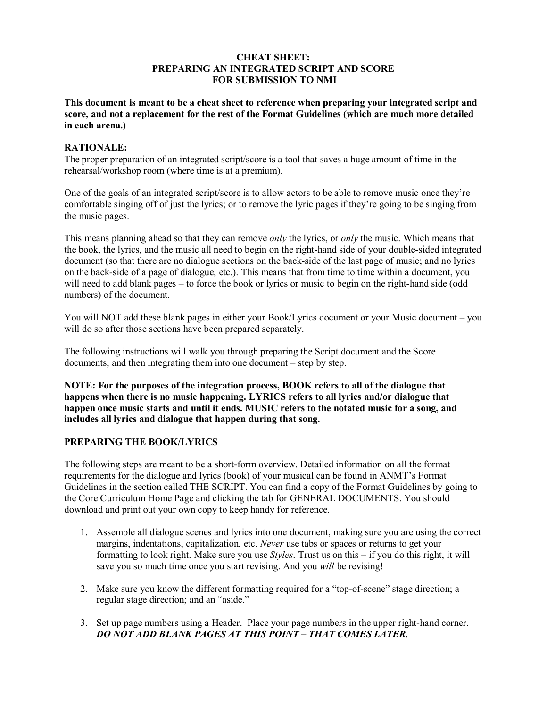#### CHEAT SHEET: PREPARING AN INTEGRATED SCRIPT AND SCORE FOR SUBMISSION TO NMI

This document is meant to be a cheat sheet to reference when preparing your integrated script and score, and not a replacement for the rest of the Format Guidelines (which are much more detailed in each arena.)

## RATIONALE:

The proper preparation of an integrated script/score is a tool that saves a huge amount of time in the rehearsal/workshop room (where time is at a premium).

One of the goals of an integrated script/score is to allow actors to be able to remove music once they're comfortable singing off of just the lyrics; or to remove the lyric pages if they're going to be singing from the music pages.

This means planning ahead so that they can remove *only* the lyrics, or *only* the music. Which means that the book, the lyrics, and the music all need to begin on the right-hand side of your double-sided integrated document (so that there are no dialogue sections on the back-side of the last page of music; and no lyrics on the back-side of a page of dialogue, etc.). This means that from time to time within a document, you will need to add blank pages – to force the book or lyrics or music to begin on the right-hand side (odd numbers) of the document.

You will NOT add these blank pages in either your Book/Lyrics document or your Music document – you will do so after those sections have been prepared separately.

The following instructions will walk you through preparing the Script document and the Score documents, and then integrating them into one document – step by step.

NOTE: For the purposes of the integration process, BOOK refers to all of the dialogue that happens when there is no music happening. LYRICS refers to all lyrics and/or dialogue that happen once music starts and until it ends. MUSIC refers to the notated music for a song, and includes all lyrics and dialogue that happen during that song.

### PREPARING THE BOOK/LYRICS

The following steps are meant to be a short-form overview. Detailed information on all the format requirements for the dialogue and lyrics (book) of your musical can be found in ANMT's Format Guidelines in the section called THE SCRIPT. You can find a copy of the Format Guidelines by going to the Core Curriculum Home Page and clicking the tab for GENERAL DOCUMENTS. You should download and print out your own copy to keep handy for reference.

- 1. Assemble all dialogue scenes and lyrics into one document, making sure you are using the correct margins, indentations, capitalization, etc. *Never* use tabs or spaces or returns to get your formatting to look right. Make sure you use *Styles*. Trust us on this – if you do this right, it will save you so much time once you start revising. And you *will* be revising!
- 2. Make sure you know the different formatting required for a "top-of-scene" stage direction; a regular stage direction; and an "aside."
- 3. Set up page numbers using a Header. Place your page numbers in the upper right-hand corner. *DO NOT ADD BLANK PAGES AT THIS POINT – THAT COMES LATER.*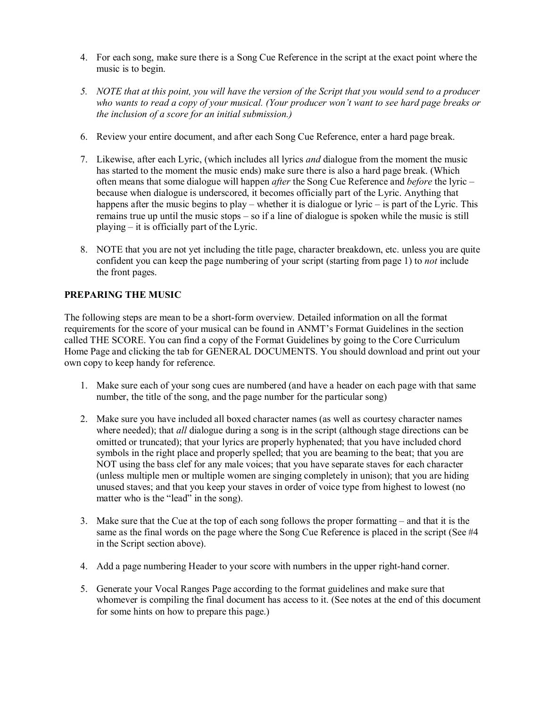- 4. For each song, make sure there is a Song Cue Reference in the script at the exact point where the music is to begin.
- *5. NOTE that at this point, you will have the version of the Script that you would send to a producer who wants to read a copy of your musical. (Your producer won't want to see hard page breaks or the inclusion of a score for an initial submission.)*
- 6. Review your entire document, and after each Song Cue Reference, enter a hard page break.
- 7. Likewise, after each Lyric, (which includes all lyrics *and* dialogue from the moment the music has started to the moment the music ends) make sure there is also a hard page break. (Which often means that some dialogue will happen *after* the Song Cue Reference and *before* the lyric – because when dialogue is underscored, it becomes officially part of the Lyric. Anything that happens after the music begins to play – whether it is dialogue or lyric – is part of the Lyric. This remains true up until the music stops – so if a line of dialogue is spoken while the music is still playing – it is officially part of the Lyric.
- 8. NOTE that you are not yet including the title page, character breakdown, etc. unless you are quite confident you can keep the page numbering of your script (starting from page 1) to *not* include the front pages.

# PREPARING THE MUSIC

The following steps are mean to be a short-form overview. Detailed information on all the format requirements for the score of your musical can be found in ANMT's Format Guidelines in the section called THE SCORE. You can find a copy of the Format Guidelines by going to the Core Curriculum Home Page and clicking the tab for GENERAL DOCUMENTS. You should download and print out your own copy to keep handy for reference.

- 1. Make sure each of your song cues are numbered (and have a header on each page with that same number, the title of the song, and the page number for the particular song)
- 2. Make sure you have included all boxed character names (as well as courtesy character names where needed); that *all* dialogue during a song is in the script (although stage directions can be omitted or truncated); that your lyrics are properly hyphenated; that you have included chord symbols in the right place and properly spelled; that you are beaming to the beat; that you are NOT using the bass clef for any male voices; that you have separate staves for each character (unless multiple men or multiple women are singing completely in unison); that you are hiding unused staves; and that you keep your staves in order of voice type from highest to lowest (no matter who is the "lead" in the song).
- 3. Make sure that the Cue at the top of each song follows the proper formatting and that it is the same as the final words on the page where the Song Cue Reference is placed in the script (See #4 in the Script section above).
- 4. Add a page numbering Header to your score with numbers in the upper right-hand corner.
- 5. Generate your Vocal Ranges Page according to the format guidelines and make sure that whomever is compiling the final document has access to it. (See notes at the end of this document for some hints on how to prepare this page.)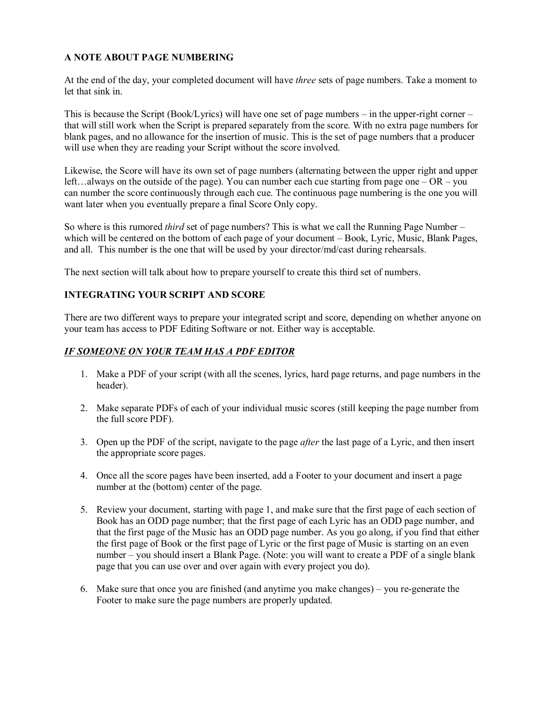### A NOTE ABOUT PAGE NUMBERING

At the end of the day, your completed document will have *three* sets of page numbers. Take a moment to let that sink in.

This is because the Script (Book/Lyrics) will have one set of page numbers – in the upper-right corner – that will still work when the Script is prepared separately from the score. With no extra page numbers for blank pages, and no allowance for the insertion of music. This is the set of page numbers that a producer will use when they are reading your Script without the score involved.

Likewise, the Score will have its own set of page numbers (alternating between the upper right and upper left…always on the outside of the page). You can number each cue starting from page one – OR – you can number the score continuously through each cue. The continuous page numbering is the one you will want later when you eventually prepare a final Score Only copy.

So where is this rumored *third* set of page numbers? This is what we call the Running Page Number – which will be centered on the bottom of each page of your document – Book, Lyric, Music, Blank Pages, and all. This number is the one that will be used by your director/md/cast during rehearsals.

The next section will talk about how to prepare yourself to create this third set of numbers.

### INTEGRATING YOUR SCRIPT AND SCORE

There are two different ways to prepare your integrated script and score, depending on whether anyone on your team has access to PDF Editing Software or not. Either way is acceptable.

## *IF SOMEONE ON YOUR TEAM HAS A PDF EDITOR*

- 1. Make a PDF of your script (with all the scenes, lyrics, hard page returns, and page numbers in the header).
- 2. Make separate PDFs of each of your individual music scores (still keeping the page number from the full score PDF).
- 3. Open up the PDF of the script, navigate to the page *after* the last page of a Lyric, and then insert the appropriate score pages.
- 4. Once all the score pages have been inserted, add a Footer to your document and insert a page number at the (bottom) center of the page.
- 5. Review your document, starting with page 1, and make sure that the first page of each section of Book has an ODD page number; that the first page of each Lyric has an ODD page number, and that the first page of the Music has an ODD page number. As you go along, if you find that either the first page of Book or the first page of Lyric or the first page of Music is starting on an even number – you should insert a Blank Page. (Note: you will want to create a PDF of a single blank page that you can use over and over again with every project you do).
- 6. Make sure that once you are finished (and anytime you make changes) you re-generate the Footer to make sure the page numbers are properly updated.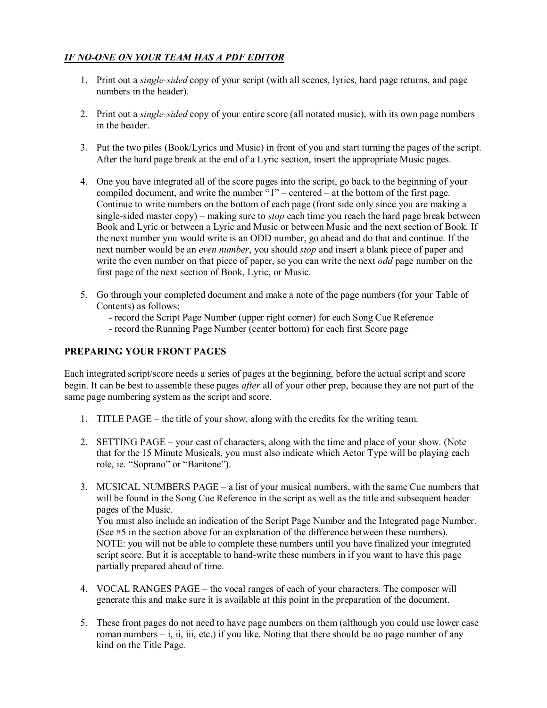## *IF NO-ONE ON YOUR TEAM HAS A PDF EDITOR*

- 1. Print out a *single-sided* copy of your script (with all scenes, lyrics, hard page returns, and page numbers in the header).
- 2. Print out a *single-sided* copy of your entire score (all notated music), with its own page numbers in the header.
- 3. Put the two piles (Book/Lyrics and Music) in front of you and start turning the pages of the script. After the hard page break at the end of a Lyric section, insert the appropriate Music pages.
- 4. One you have integrated all of the score pages into the script, go back to the beginning of your compiled document, and write the number "1" – centered – at the bottom of the first page. Continue to write numbers on the bottom of each page (front side only since you are making a single-sided master copy) – making sure to *stop* each time you reach the hard page break between Book and Lyric or between a Lyric and Music or between Music and the next section of Book. If the next number you would write is an ODD number, go ahead and do that and continue. If the next number would be an *even number*, you should *stop* and insert a blank piece of paper and write the even number on that piece of paper, so you can write the next *odd* page number on the first page of the next section of Book, Lyric, or Music.
- 5. Go through your completed document and make a note of the page numbers (for your Table of Contents) as follows:
	- record the Script Page Number (upper right corner) for each Song Cue Reference
	- record the Running Page Number (center bottom) for each first Score page

### PREPARING YOUR FRONT PAGES

Each integrated script/score needs a series of pages at the beginning, before the actual script and score begin. It can be best to assemble these pages *after* all of your other prep, because they are not part of the same page numbering system as the script and score.

- 1. TITLE PAGE the title of your show, along with the credits for the writing team.
- 2. SETTING PAGE your cast of characters, along with the time and place of your show. (Note that for the 15 Minute Musicals, you must also indicate which Actor Type will be playing each role, ie. "Soprano" or "Baritone").
- 3. MUSICAL NUMBERS PAGE a list of your musical numbers, with the same Cue numbers that will be found in the Song Cue Reference in the script as well as the title and subsequent header pages of the Music. You must also include an indication of the Script Page Number and the Integrated page Number. (See #5 in the section above for an explanation of the difference between these numbers). NOTE: you will not be able to complete these numbers until you have finalized your integrated script score. But it is acceptable to hand-write these numbers in if you want to have this page

partially prepared ahead of time.

- 4. VOCAL RANGES PAGE the vocal ranges of each of your characters. The composer will generate this and make sure it is available at this point in the preparation of the document.
- 5. These front pages do not need to have page numbers on them (although you could use lower case roman numbers  $-$  i, ii, iii, etc.) if you like. Noting that there should be no page number of any kind on the Title Page.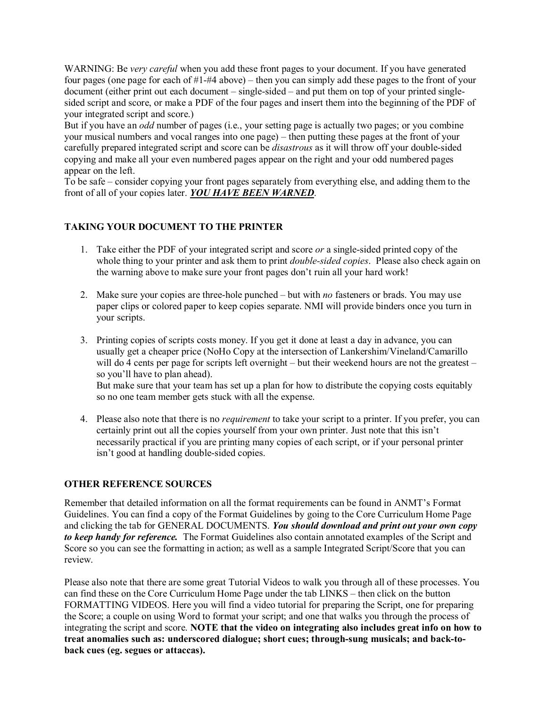WARNING: Be *very careful* when you add these front pages to your document. If you have generated four pages (one page for each of #1-#4 above) – then you can simply add these pages to the front of your document (either print out each document – single-sided – and put them on top of your printed singlesided script and score, or make a PDF of the four pages and insert them into the beginning of the PDF of your integrated script and score.)

But if you have an *odd* number of pages (i.e., your setting page is actually two pages; or you combine your musical numbers and vocal ranges into one page) – then putting these pages at the front of your carefully prepared integrated script and score can be *disastrous* as it will throw off your double-sided copying and make all your even numbered pages appear on the right and your odd numbered pages appear on the left.

To be safe – consider copying your front pages separately from everything else, and adding them to the front of all of your copies later. *YOU HAVE BEEN WARNED*.

### TAKING YOUR DOCUMENT TO THE PRINTER

- 1. Take either the PDF of your integrated script and score *or* a single-sided printed copy of the whole thing to your printer and ask them to print *double-sided copies*. Please also check again on the warning above to make sure your front pages don't ruin all your hard work!
- 2. Make sure your copies are three-hole punched but with *no* fasteners or brads. You may use paper clips or colored paper to keep copies separate. NMI will provide binders once you turn in your scripts.
- 3. Printing copies of scripts costs money. If you get it done at least a day in advance, you can usually get a cheaper price (NoHo Copy at the intersection of Lankershim/Vineland/Camarillo will do 4 cents per page for scripts left overnight – but their weekend hours are not the greatest – so you'll have to plan ahead).

But make sure that your team has set up a plan for how to distribute the copying costs equitably so no one team member gets stuck with all the expense.

4. Please also note that there is no *requirement* to take your script to a printer. If you prefer, you can certainly print out all the copies yourself from your own printer. Just note that this isn't necessarily practical if you are printing many copies of each script, or if your personal printer isn't good at handling double-sided copies.

### OTHER REFERENCE SOURCES

Remember that detailed information on all the format requirements can be found in ANMT's Format Guidelines. You can find a copy of the Format Guidelines by going to the Core Curriculum Home Page and clicking the tab for GENERAL DOCUMENTS. *You should download and print out your own copy to keep handy for reference.* The Format Guidelines also contain annotated examples of the Script and Score so you can see the formatting in action; as well as a sample Integrated Script/Score that you can review.

Please also note that there are some great Tutorial Videos to walk you through all of these processes. You can find these on the Core Curriculum Home Page under the tab LINKS – then click on the button FORMATTING VIDEOS. Here you will find a video tutorial for preparing the Script, one for preparing the Score; a couple on using Word to format your script; and one that walks you through the process of integrating the script and score. NOTE that the video on integrating also includes great info on how to treat anomalies such as: underscored dialogue; short cues; through-sung musicals; and back-toback cues (eg. segues or attaccas).